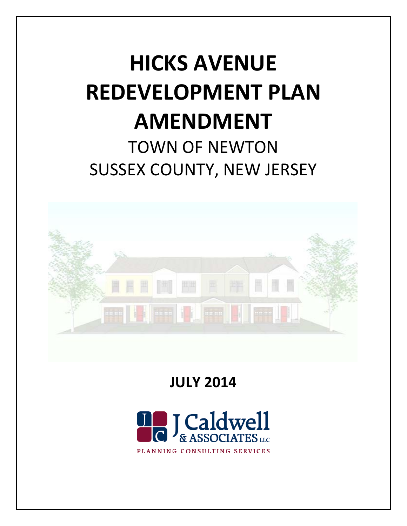# **HICKS AVENUE REDEVELOPMENT PLAN AMENDMENT** TOWN OF NEWTON SUSSEX COUNTY, NEW JERSEY



**JULY 2014**

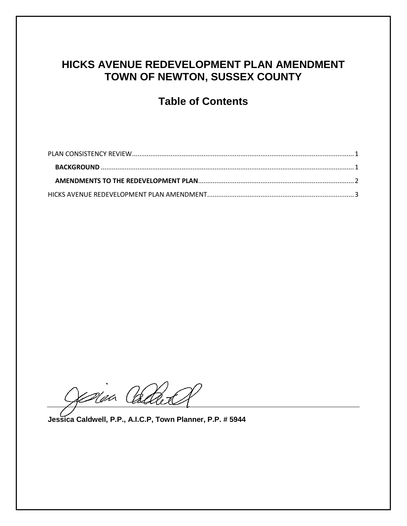# **HICKS AVENUE REDEVELOPMENT PLAN AMENDMENT TOWN OF NEWTON, SUSSEX COUNTY**

# **Table of Contents**

Colaa Cada

**Jessica Caldwell, P.P., A.I.C.P, Town Planner, P.P. # 5944**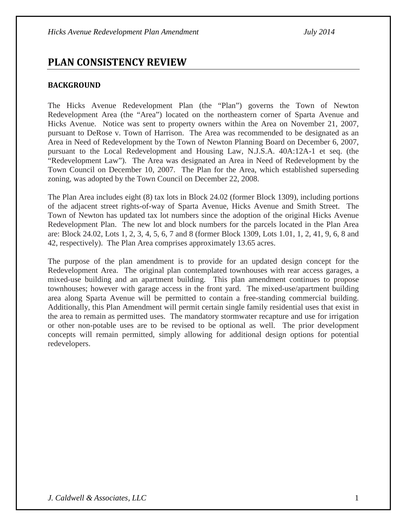# <span id="page-2-0"></span>**PLAN CONSISTENCY REVIEW**

# <span id="page-2-1"></span>**BACKGROUND**

The Hicks Avenue Redevelopment Plan (the "Plan") governs the Town of Newton Redevelopment Area (the "Area") located on the northeastern corner of Sparta Avenue and Hicks Avenue. Notice was sent to property owners within the Area on November 21, 2007, pursuant to DeRose v. Town of Harrison. The Area was recommended to be designated as an Area in Need of Redevelopment by the Town of Newton Planning Board on December 6, 2007, pursuant to the Local Redevelopment and Housing Law, N.J.S.A. 40A:12A-1 et seq. (the "Redevelopment Law"). The Area was designated an Area in Need of Redevelopment by the Town Council on December 10, 2007. The Plan for the Area, which established superseding zoning, was adopted by the Town Council on December 22, 2008.

The Plan Area includes eight (8) tax lots in Block 24.02 (former Block 1309), including portions of the adjacent street rights-of-way of Sparta Avenue, Hicks Avenue and Smith Street. The Town of Newton has updated tax lot numbers since the adoption of the original Hicks Avenue Redevelopment Plan. The new lot and block numbers for the parcels located in the Plan Area are: Block 24.02, Lots 1, 2, 3, 4, 5, 6, 7 and 8 (former Block 1309, Lots 1.01, 1, 2, 41, 9, 6, 8 and 42, respectively). The Plan Area comprises approximately 13.65 acres.

The purpose of the plan amendment is to provide for an updated design concept for the Redevelopment Area. The original plan contemplated townhouses with rear access garages, a mixed-use building and an apartment building. This plan amendment continues to propose townhouses; however with garage access in the front yard. The mixed-use/apartment building area along Sparta Avenue will be permitted to contain a free-standing commercial building. Additionally, this Plan Amendment will permit certain single family residential uses that exist in the area to remain as permitted uses. The mandatory stormwater recapture and use for irrigation or other non-potable uses are to be revised to be optional as well. The prior development concepts will remain permitted, simply allowing for additional design options for potential redevelopers.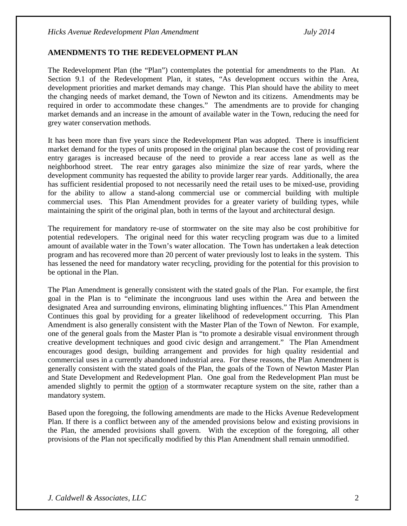#### <span id="page-3-0"></span>**AMENDMENTS TO THE REDEVELOPMENT PLAN**

The Redevelopment Plan (the "Plan") contemplates the potential for amendments to the Plan. At Section 9.1 of the Redevelopment Plan, it states, "As development occurs within the Area, development priorities and market demands may change. This Plan should have the ability to meet the changing needs of market demand, the Town of Newton and its citizens. Amendments may be required in order to accommodate these changes." The amendments are to provide for changing market demands and an increase in the amount of available water in the Town, reducing the need for grey water conservation methods.

It has been more than five years since the Redevelopment Plan was adopted. There is insufficient market demand for the types of units proposed in the original plan because the cost of providing rear entry garages is increased because of the need to provide a rear access lane as well as the neighborhood street. The rear entry garages also minimize the size of rear yards, where the development community has requested the ability to provide larger rear yards. Additionally, the area has sufficient residential proposed to not necessarily need the retail uses to be mixed-use, providing for the ability to allow a stand-along commercial use or commercial building with multiple commercial uses. This Plan Amendment provides for a greater variety of building types, while maintaining the spirit of the original plan, both in terms of the layout and architectural design.

The requirement for mandatory re-use of stormwater on the site may also be cost prohibitive for potential redevelopers. The original need for this water recycling program was due to a limited amount of available water in the Town's water allocation. The Town has undertaken a leak detection program and has recovered more than 20 percent of water previously lost to leaks in the system. This has lessened the need for mandatory water recycling, providing for the potential for this provision to be optional in the Plan.

The Plan Amendment is generally consistent with the stated goals of the Plan. For example, the first goal in the Plan is to "eliminate the incongruous land uses within the Area and between the designated Area and surrounding environs, eliminating blighting influences." This Plan Amendment Continues this goal by providing for a greater likelihood of redevelopment occurring. This Plan Amendment is also generally consistent with the Master Plan of the Town of Newton. For example, one of the general goals from the Master Plan is "to promote a desirable visual environment through creative development techniques and good civic design and arrangement." The Plan Amendment encourages good design, building arrangement and provides for high quality residential and commercial uses in a currently abandoned industrial area. For these reasons, the Plan Amendment is generally consistent with the stated goals of the Plan, the goals of the Town of Newton Master Plan and State Development and Redevelopment Plan. One goal from the Redevelopment Plan must be amended slightly to permit the option of a stormwater recapture system on the site, rather than a mandatory system.

<span id="page-3-1"></span>Based upon the foregoing, the following amendments are made to the Hicks Avenue Redevelopment Plan. If there is a conflict between any of the amended provisions below and existing provisions in the Plan, the amended provisions shall govern. With the exception of the foregoing, all other provisions of the Plan not specifically modified by this Plan Amendment shall remain unmodified.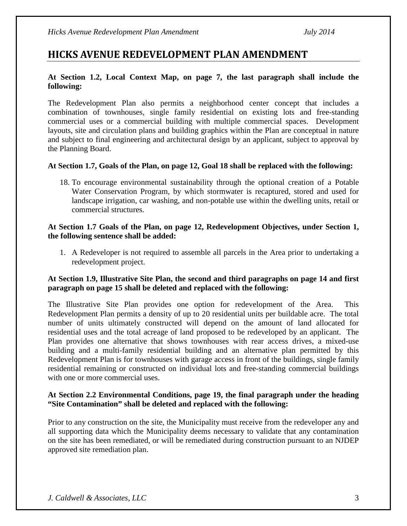# **HICKS AVENUE REDEVELOPMENT PLAN AMENDMENT**

## **At Section 1.2, Local Context Map, on page 7, the last paragraph shall include the following:**

The Redevelopment Plan also permits a neighborhood center concept that includes a combination of townhouses, single family residential on existing lots and free-standing commercial uses or a commercial building with multiple commercial spaces. Development layouts, site and circulation plans and building graphics within the Plan are conceptual in nature and subject to final engineering and architectural design by an applicant, subject to approval by the Planning Board.

#### **At Section 1.7, Goals of the Plan, on page 12, Goal 18 shall be replaced with the following:**

18. To encourage environmental sustainability through the optional creation of a Potable Water Conservation Program, by which stormwater is recaptured, stored and used for landscape irrigation, car washing, and non-potable use within the dwelling units, retail or commercial structures.

#### **At Section 1.7 Goals of the Plan, on page 12, Redevelopment Objectives, under Section 1, the following sentence shall be added:**

1. A Redeveloper is not required to assemble all parcels in the Area prior to undertaking a redevelopment project.

#### **At Section 1.9, Illustrative Site Plan, the second and third paragraphs on page 14 and first paragraph on page 15 shall be deleted and replaced with the following:**

The Illustrative Site Plan provides one option for redevelopment of the Area. This Redevelopment Plan permits a density of up to 20 residential units per buildable acre. The total number of units ultimately constructed will depend on the amount of land allocated for residential uses and the total acreage of land proposed to be redeveloped by an applicant. The Plan provides one alternative that shows townhouses with rear access drives, a mixed-use building and a multi-family residential building and an alternative plan permitted by this Redevelopment Plan is for townhouses with garage access in front of the buildings, single family residential remaining or constructed on individual lots and free-standing commercial buildings with one or more commercial uses.

#### **At Section 2.2 Environmental Conditions, page 19, the final paragraph under the heading "Site Contamination" shall be deleted and replaced with the following:**

Prior to any construction on the site, the Municipality must receive from the redeveloper any and all supporting data which the Municipality deems necessary to validate that any contamination on the site has been remediated, or will be remediated during construction pursuant to an NJDEP approved site remediation plan.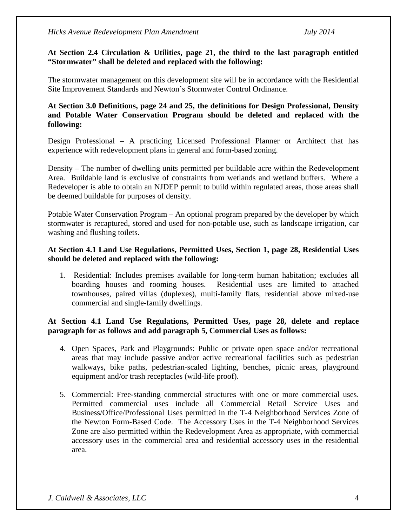*Hicks Avenue Redevelopment Plan Amendment July 2014*

#### **At Section 2.4 Circulation & Utilities, page 21, the third to the last paragraph entitled "Stormwater" shall be deleted and replaced with the following:**

The stormwater management on this development site will be in accordance with the Residential Site Improvement Standards and Newton's Stormwater Control Ordinance.

#### **At Section 3.0 Definitions, page 24 and 25, the definitions for Design Professional, Density and Potable Water Conservation Program should be deleted and replaced with the following:**

Design Professional – A practicing Licensed Professional Planner or Architect that has experience with redevelopment plans in general and form-based zoning.

Density – The number of dwelling units permitted per buildable acre within the Redevelopment Area. Buildable land is exclusive of constraints from wetlands and wetland buffers. Where a Redeveloper is able to obtain an NJDEP permit to build within regulated areas, those areas shall be deemed buildable for purposes of density.

Potable Water Conservation Program – An optional program prepared by the developer by which stormwater is recaptured, stored and used for non-potable use, such as landscape irrigation, car washing and flushing toilets.

#### **At Section 4.1 Land Use Regulations, Permitted Uses, Section 1, page 28, Residential Uses should be deleted and replaced with the following:**

1. Residential: Includes premises available for long-term human habitation; excludes all boarding houses and rooming houses. Residential uses are limited to attached townhouses, paired villas (duplexes), multi-family flats, residential above mixed-use commercial and single-family dwellings.

#### **At Section 4.1 Land Use Regulations, Permitted Uses, page 28, delete and replace paragraph for as follows and add paragraph 5, Commercial Uses as follows:**

- 4. Open Spaces, Park and Playgrounds: Public or private open space and/or recreational areas that may include passive and/or active recreational facilities such as pedestrian walkways, bike paths, pedestrian-scaled lighting, benches, picnic areas, playground equipment and/or trash receptacles (wild-life proof).
- 5. Commercial: Free-standing commercial structures with one or more commercial uses. Permitted commercial uses include all Commercial Retail Service Uses and Business/Office/Professional Uses permitted in the T-4 Neighborhood Services Zone of the Newton Form-Based Code. The Accessory Uses in the T-4 Neighborhood Services Zone are also permitted within the Redevelopment Area as appropriate, with commercial accessory uses in the commercial area and residential accessory uses in the residential area.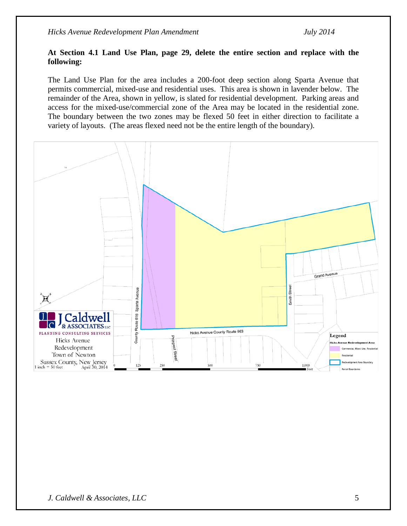#### **At Section 4.1 Land Use Plan, page 29, delete the entire section and replace with the following:**

The Land Use Plan for the area includes a 200-foot deep section along Sparta Avenue that permits commercial, mixed-use and residential uses. This area is shown in lavender below. The remainder of the Area, shown in yellow, is slated for residential development. Parking areas and access for the mixed-use/commercial zone of the Area may be located in the residential zone. The boundary between the two zones may be flexed 50 feet in either direction to facilitate a variety of layouts. (The areas flexed need not be the entire length of the boundary).

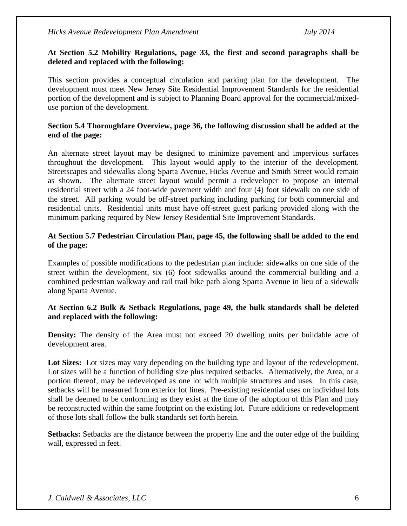#### **At Section 5.2 Mobility Regulations, page 33, the first and second paragraphs shall be deleted and replaced with the following:**

This section provides a conceptual circulation and parking plan for the development. The development must meet New Jersey Site Residential Improvement Standards for the residential portion of the development and is subject to Planning Board approval for the commercial/mixeduse portion of the development.

#### **Section 5.4 Thoroughfare Overview, page 36, the following discussion shall be added at the end of the page:**

An alternate street layout may be designed to minimize pavement and impervious surfaces throughout the development. This layout would apply to the interior of the development. Streetscapes and sidewalks along Sparta Avenue, Hicks Avenue and Smith Street would remain as shown. The alternate street layout would permit a redeveloper to propose an internal residential street with a 24 foot-wide pavement width and four (4) foot sidewalk on one side of the street. All parking would be off-street parking including parking for both commercial and residential units. Residential units must have off-street guest parking provided along with the minimum parking required by New Jersey Residential Site Improvement Standards.

#### **At Section 5.7 Pedestrian Circulation Plan, page 45, the following shall be added to the end of the page:**

Examples of possible modifications to the pedestrian plan include: sidewalks on one side of the street within the development, six (6) foot sidewalks around the commercial building and a combined pedestrian walkway and rail trail bike path along Sparta Avenue in lieu of a sidewalk along Sparta Avenue.

#### **At Section 6.2 Bulk & Setback Regulations, page 49, the bulk standards shall be deleted and replaced with the following:**

**Density:** The density of the Area must not exceed 20 dwelling units per buildable acre of development area.

Lot Sizes: Lot sizes may vary depending on the building type and layout of the redevelopment. Lot sizes will be a function of building size plus required setbacks. Alternatively, the Area, or a portion thereof, may be redeveloped as one lot with multiple structures and uses. In this case, setbacks will be measured from exterior lot lines. Pre-existing residential uses on individual lots shall be deemed to be conforming as they exist at the time of the adoption of this Plan and may be reconstructed within the same footprint on the existing lot. Future additions or redevelopment of those lots shall follow the bulk standards set forth herein.

**Setbacks:** Setbacks are the distance between the property line and the outer edge of the building wall, expressed in feet.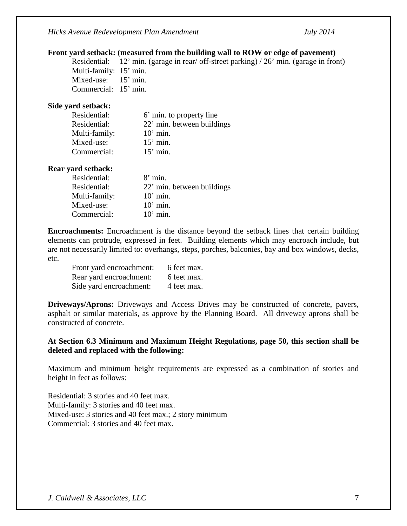*Hicks Avenue Redevelopment Plan Amendment July 2014*

#### **Front yard setback: (measured from the building wall to ROW or edge of pavement)**

Residential: 12' min. (garage in rear/ off-street parking) / 26' min. (garage in front) Multi-family: 15' min. Mixed-use: 15' min. Commercial: 15' min.

#### **Side yard setback:**

| Residential:  | 6' min. to property line   |
|---------------|----------------------------|
| Residential:  | 22' min. between buildings |
| Multi-family: | $10'$ min.                 |
| Mixed-use:    | $15'$ min.                 |
| Commercial:   | $15'$ min.                 |

#### **Rear yard setback:**

| Residential:  | $8'$ min.                  |
|---------------|----------------------------|
| Residential:  | 22' min. between buildings |
| Multi-family: | $10'$ min.                 |
| Mixed-use:    | $10'$ min.                 |
| Commercial:   | $10'$ min.                 |

**Encroachments:** Encroachment is the distance beyond the setback lines that certain building elements can protrude, expressed in feet. Building elements which may encroach include, but are not necessarily limited to: overhangs, steps, porches, balconies, bay and box windows, decks, etc.

| Front yard encroachment: | 6 feet max. |
|--------------------------|-------------|
| Rear yard encroachment:  | 6 feet max. |
| Side yard encroachment:  | 4 feet max. |

**Driveways/Aprons:** Driveways and Access Drives may be constructed of concrete, pavers, asphalt or similar materials, as approve by the Planning Board. All driveway aprons shall be constructed of concrete.

#### **At Section 6.3 Minimum and Maximum Height Regulations, page 50, this section shall be deleted and replaced with the following:**

Maximum and minimum height requirements are expressed as a combination of stories and height in feet as follows:

Residential: 3 stories and 40 feet max. Multi-family: 3 stories and 40 feet max. Mixed-use: 3 stories and 40 feet max.; 2 story minimum Commercial: 3 stories and 40 feet max.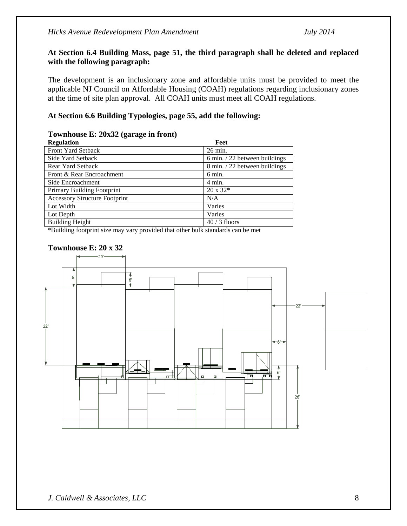#### **At Section 6.4 Building Mass, page 51, the third paragraph shall be deleted and replaced with the following paragraph:**

The development is an inclusionary zone and affordable units must be provided to meet the applicable NJ Council on Affordable Housing (COAH) regulations regarding inclusionary zones at the time of site plan approval. All COAH units must meet all COAH regulations.

#### **At Section 6.6 Building Typologies, page 55, add the following:**

#### **Townhouse E: 20x32 (garage in front)**

| <b>Regulation</b>                    | Feet                                    |
|--------------------------------------|-----------------------------------------|
| <b>Front Yard Setback</b>            | 26 min.                                 |
| Side Yard Setback                    | $6 \text{ min.} / 22$ between buildings |
| Rear Yard Setback                    | 8 min. / 22 between buildings           |
| Front & Rear Encroachment            | 6 min.                                  |
| Side Encroachment                    | $4 \text{ min.}$                        |
| <b>Primary Building Footprint</b>    | $20 \times 32*$                         |
| <b>Accessory Structure Footprint</b> | N/A                                     |
| Lot Width                            | Varies                                  |
| Lot Depth                            | Varies                                  |
| <b>Building Height</b>               | $40/3$ floors                           |

\*Building footprint size may vary provided that other bulk standards can be met

#### **Townhouse E: 20 x 32**

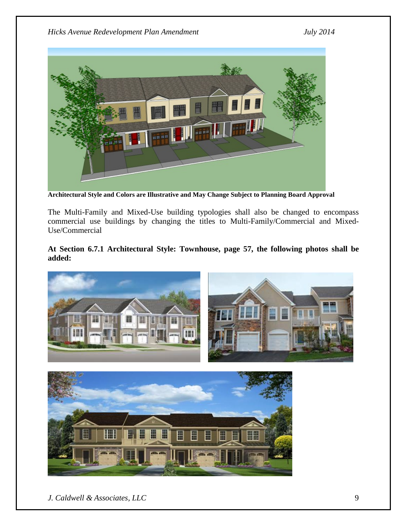

**Architectural Style and Colors are Illustrative and May Change Subject to Planning Board Approval**

The Multi-Family and Mixed-Use building typologies shall also be changed to encompass commercial use buildings by changing the titles to Multi-Family/Commercial and Mixed-Use/Commercial

## **At Section 6.7.1 Architectural Style: Townhouse, page 57, the following photos shall be added:**



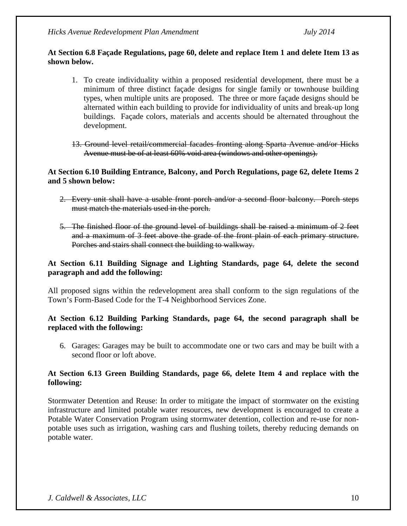*Hicks Avenue Redevelopment Plan Amendment July 2014*

#### **At Section 6.8 Façade Regulations, page 60, delete and replace Item 1 and delete Item 13 as shown below.**

- 1. To create individuality within a proposed residential development, there must be a minimum of three distinct façade designs for single family or townhouse building types, when multiple units are proposed. The three or more façade designs should be alternated within each building to provide for individuality of units and break-up long buildings. Façade colors, materials and accents should be alternated throughout the development.
- 13. Ground level retail/commercial facades fronting along Sparta Avenue and/or Hicks Avenue must be of at least 60% void area (windows and other openings).

#### **At Section 6.10 Building Entrance, Balcony, and Porch Regulations, page 62, delete Items 2 and 5 shown below:**

- 2. Every unit shall have a usable front porch and/or a second floor balcony. Porch steps must match the materials used in the porch.
- 5. The finished floor of the ground level of buildings shall be raised a minimum of 2 feet and a maximum of 3 feet above the grade of the front plain of each primary structure. Porches and stairs shall connect the building to walkway.

#### **At Section 6.11 Building Signage and Lighting Standards, page 64, delete the second paragraph and add the following:**

All proposed signs within the redevelopment area shall conform to the sign regulations of the Town's Form-Based Code for the T-4 Neighborhood Services Zone.

#### **At Section 6.12 Building Parking Standards, page 64, the second paragraph shall be replaced with the following:**

6. Garages: Garages may be built to accommodate one or two cars and may be built with a second floor or loft above.

#### **At Section 6.13 Green Building Standards, page 66, delete Item 4 and replace with the following:**

Stormwater Detention and Reuse: In order to mitigate the impact of stormwater on the existing infrastructure and limited potable water resources, new development is encouraged to create a Potable Water Conservation Program using stormwater detention, collection and re-use for nonpotable uses such as irrigation, washing cars and flushing toilets, thereby reducing demands on potable water.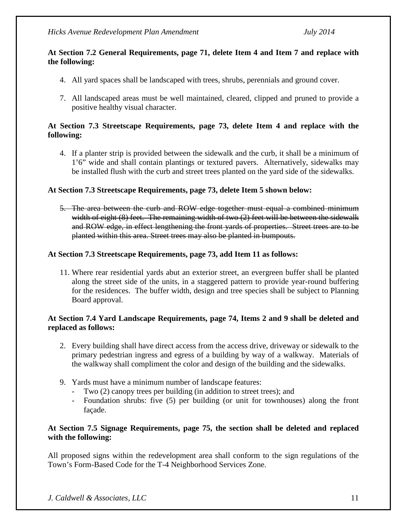#### **At Section 7.2 General Requirements, page 71, delete Item 4 and Item 7 and replace with the following:**

- 4. All yard spaces shall be landscaped with trees, shrubs, perennials and ground cover.
- 7. All landscaped areas must be well maintained, cleared, clipped and pruned to provide a positive healthy visual character.

#### **At Section 7.3 Streetscape Requirements, page 73, delete Item 4 and replace with the following:**

4. If a planter strip is provided between the sidewalk and the curb, it shall be a minimum of 1'6" wide and shall contain plantings or textured pavers. Alternatively, sidewalks may be installed flush with the curb and street trees planted on the yard side of the sidewalks.

#### **At Section 7.3 Streetscape Requirements, page 73, delete Item 5 shown below:**

5. The area between the curb and ROW edge together must equal a combined minimum width of eight (8) feet. The remaining width of two (2) feet will be between the sidewalk and ROW edge, in effect lengthening the front yards of properties. Street trees are to be planted within this area. Street trees may also be planted in bumpouts.

#### **At Section 7.3 Streetscape Requirements, page 73, add Item 11 as follows:**

11. Where rear residential yards abut an exterior street, an evergreen buffer shall be planted along the street side of the units, in a staggered pattern to provide year-round buffering for the residences. The buffer width, design and tree species shall be subject to Planning Board approval.

#### **At Section 7.4 Yard Landscape Requirements, page 74, Items 2 and 9 shall be deleted and replaced as follows:**

- 2. Every building shall have direct access from the access drive, driveway or sidewalk to the primary pedestrian ingress and egress of a building by way of a walkway. Materials of the walkway shall compliment the color and design of the building and the sidewalks.
- 9. Yards must have a minimum number of landscape features:
	- Two (2) canopy trees per building (in addition to street trees); and
	- Foundation shrubs: five (5) per building (or unit for townhouses) along the front façade.

#### **At Section 7.5 Signage Requirements, page 75, the section shall be deleted and replaced with the following:**

All proposed signs within the redevelopment area shall conform to the sign regulations of the Town's Form-Based Code for the T-4 Neighborhood Services Zone.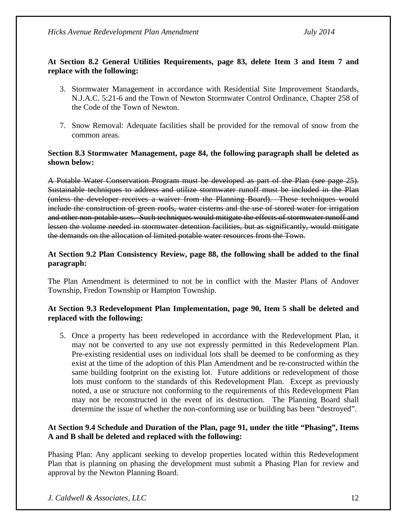## **At Section 8.2 General Utilities Requirements, page 83, delete Item 3 and Item 7 and replace with the following:**

- 3. Stormwater Management in accordance with Residential Site Improvement Standards, N.J.A.C. 5:21-6 and the Town of Newton Stormwater Control Ordinance, Chapter 258 of the Code of the Town of Newton.
- 7. Snow Removal: Adequate facilities shall be provided for the removal of snow from the common areas.

#### **Section 8.3 Stormwater Management, page 84, the following paragraph shall be deleted as shown below:**

A Potable Water Conservation Program must be developed as part of the Plan (see page 25). Sustainable techniques to address and utilize stormwater runoff must be included in the Plan (unless the developer receives a waiver from the Planning Board). These techniques would include the construction of green roofs, water cisterns and the use of stored water for irrigation and other non-potable uses. Such techniques would mitigate the effects of stormwater runoff and lessen the volume needed in stormwater detention facilities, but as significantly, would mitigate the demands on the allocation of limited potable water resources from the Town.

## **At Section 9.2 Plan Consistency Review, page 88, the following shall be added to the final paragraph:**

The Plan Amendment is determined to not be in conflict with the Master Plans of Andover Township, Fredon Township or Hampton Township.

#### **At Section 9.3 Redevelopment Plan Implementation, page 90, Item 5 shall be deleted and replaced with the following:**

5. Once a property has been redeveloped in accordance with the Redevelopment Plan, it may not be converted to any use not expressly permitted in this Redevelopment Plan. Pre-existing residential uses on individual lots shall be deemed to be conforming as they exist at the time of the adoption of this Plan Amendment and be re-constructed within the same building footprint on the existing lot. Future additions or redevelopment of those lots must conform to the standards of this Redevelopment Plan. Except as previously noted, a use or structure not conforming to the requirements of this Redevelopment Plan may not be reconstructed in the event of its destruction. The Planning Board shall determine the issue of whether the non-conforming use or building has been "destroyed".

#### **At Section 9.4 Schedule and Duration of the Plan, page 91, under the title "Phasing", Items A and B shall be deleted and replaced with the following:**

Phasing Plan: Any applicant seeking to develop properties located within this Redevelopment Plan that is planning on phasing the development must submit a Phasing Plan for review and approval by the Newton Planning Board.